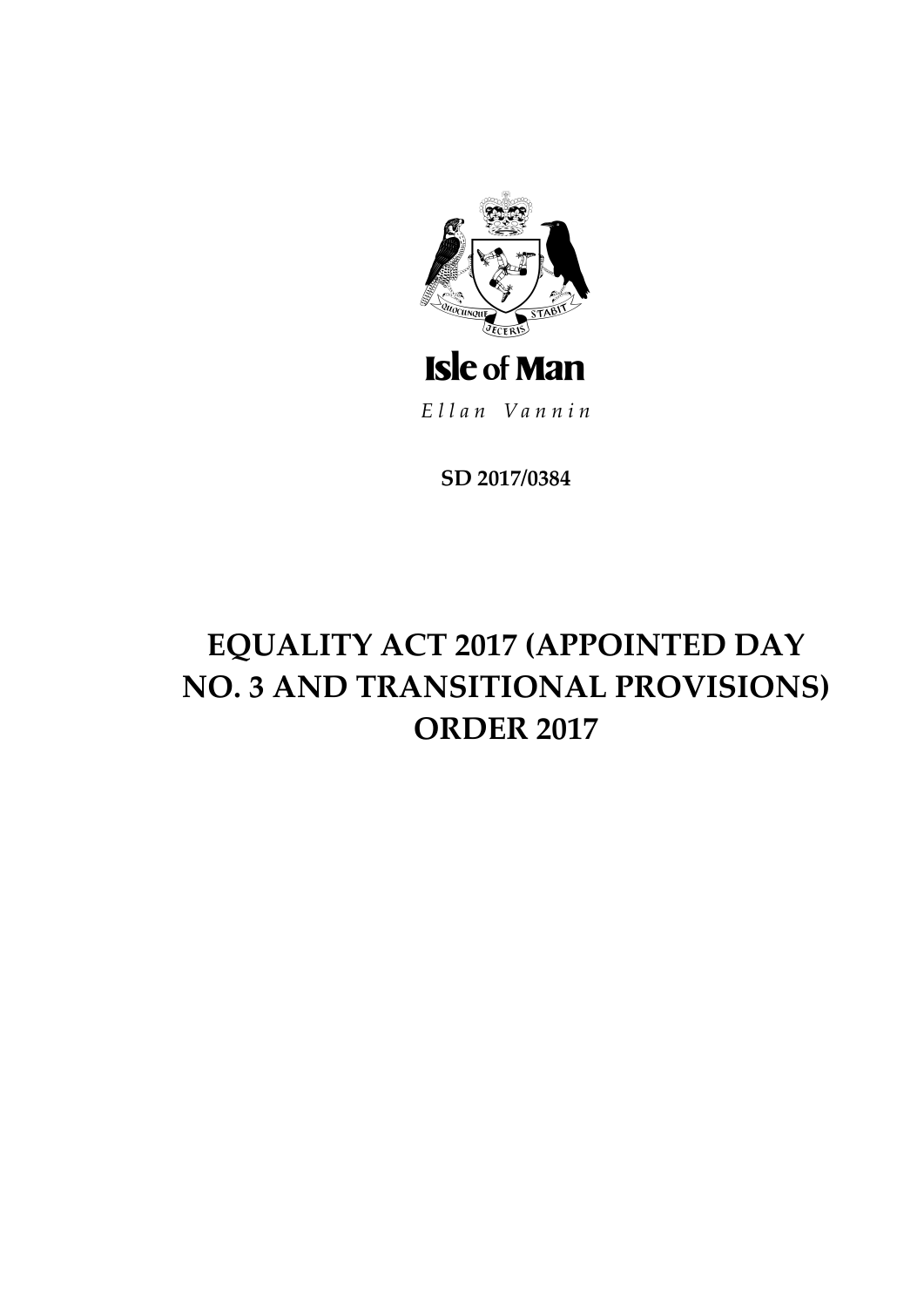

Ellan Vannin

**SD 2017/0384**

# **EQUALITY ACT 2017 (APPOINTED DAY NO. 3 AND TRANSITIONAL PROVISIONS) ORDER 2017**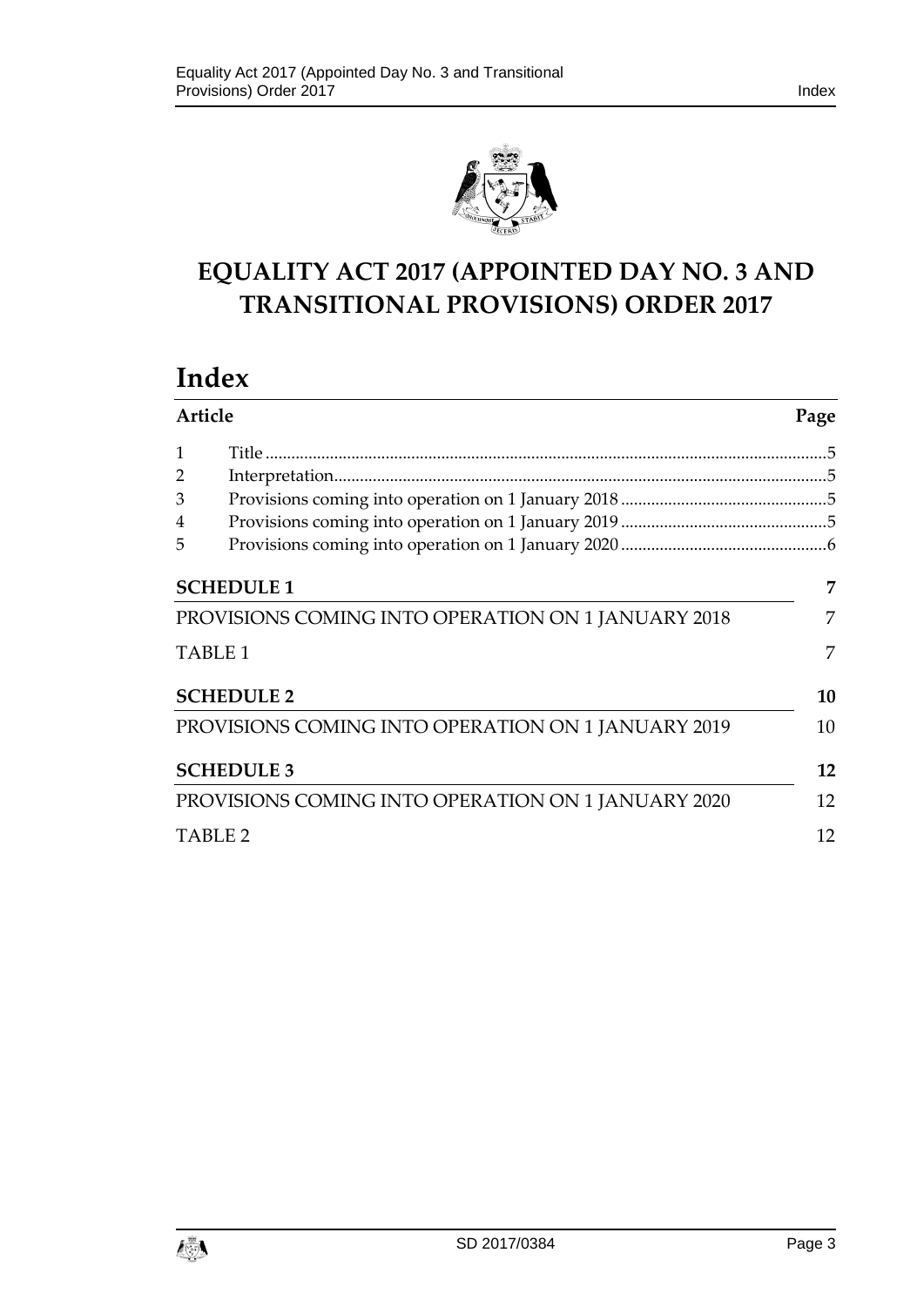

# **EQUALITY ACT 2017 (APPOINTED DAY NO. 3 AND TRANSITIONAL PROVISIONS) ORDER 2017**

# **Index**

| <b>Article</b> |                                                    | Page |
|----------------|----------------------------------------------------|------|
| 1              |                                                    |      |
| 2              |                                                    |      |
| 3              |                                                    |      |
| 4              |                                                    |      |
| 5              |                                                    |      |
|                | <b>SCHEDULE 1</b>                                  | 7    |
|                | PROVISIONS COMING INTO OPERATION ON 1 JANUARY 2018 | 7    |
|                | TABLE <sub>1</sub>                                 | 7    |
|                | <b>SCHEDULE 2</b>                                  | 10   |
|                | PROVISIONS COMING INTO OPERATION ON 1 JANUARY 2019 | 10   |
|                | <b>SCHEDULE 3</b>                                  | 12   |
|                | PROVISIONS COMING INTO OPERATION ON 1 JANUARY 2020 | 12   |
|                | <b>TABLE 2</b>                                     | 12   |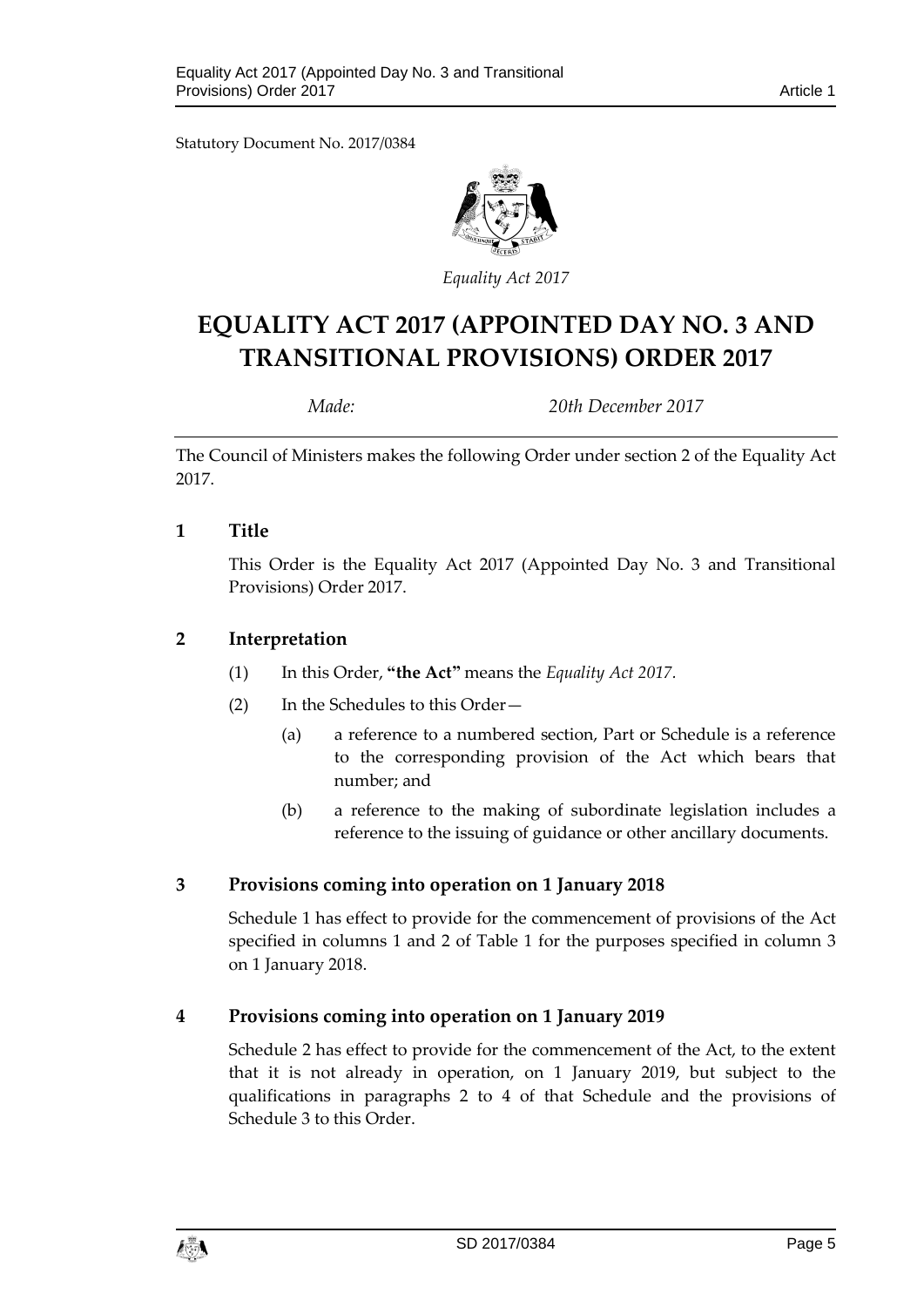Statutory Document No. 2017/0384



*Equality Act 2017*

# **EQUALITY ACT 2017 (APPOINTED DAY NO. 3 AND TRANSITIONAL PROVISIONS) ORDER 2017**

*Made: 20th December 2017*

The Council of Ministers makes the following Order under section 2 of the Equality Act 2017.

#### <span id="page-4-0"></span>**1 Title**

This Order is the Equality Act 2017 (Appointed Day No. 3 and Transitional Provisions) Order 2017.

## <span id="page-4-1"></span>**2 Interpretation**

- (1) In this Order, **"the Act"** means the *Equality Act 2017.*
- (2) In the Schedules to this Order—
	- (a) a reference to a numbered section, Part or Schedule is a reference to the corresponding provision of the Act which bears that number; and
	- (b) a reference to the making of subordinate legislation includes a reference to the issuing of guidance or other ancillary documents.

# <span id="page-4-2"></span>**3 Provisions coming into operation on 1 January 2018**

Schedule 1 has effect to provide for the commencement of provisions of the Act specified in columns 1 and 2 of Table 1 for the purposes specified in column 3 on 1 January 2018.

#### <span id="page-4-3"></span>**4 Provisions coming into operation on 1 January 2019**

Schedule 2 has effect to provide for the commencement of the Act, to the extent that it is not already in operation, on 1 January 2019, but subject to the qualifications in paragraphs 2 to 4 of that Schedule and the provisions of Schedule 3 to this Order.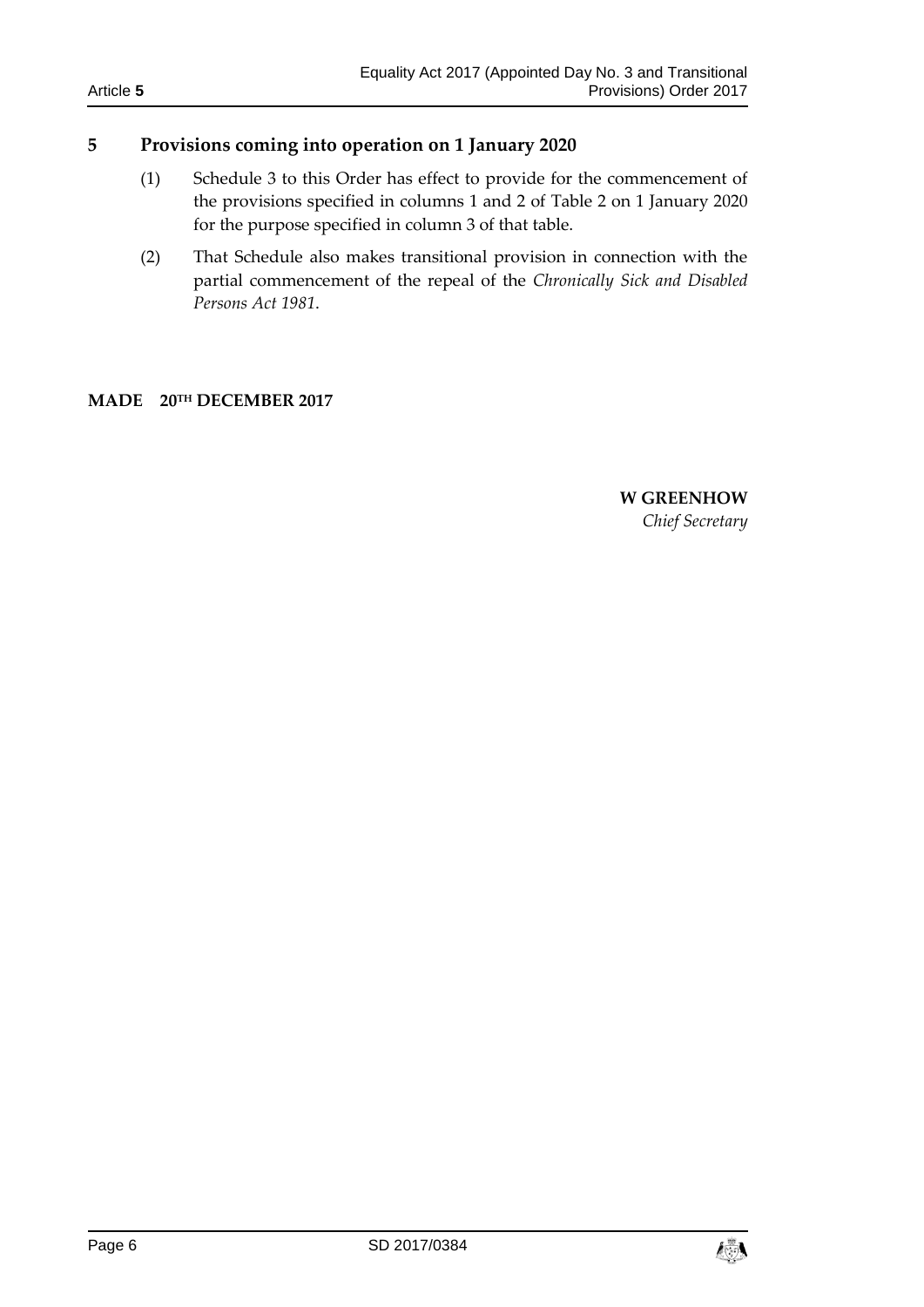# <span id="page-5-0"></span>**5 Provisions coming into operation on 1 January 2020**

- (1) Schedule 3 to this Order has effect to provide for the commencement of the provisions specified in columns 1 and 2 of Table 2 on 1 January 2020 for the purpose specified in column 3 of that table.
- (2) That Schedule also makes transitional provision in connection with the partial commencement of the repeal of the *Chronically Sick and Disabled Persons Act 1981*.

#### **MADE 20 TH DECEMBER 2017**

**W GREENHOW** *Chief Secretary*

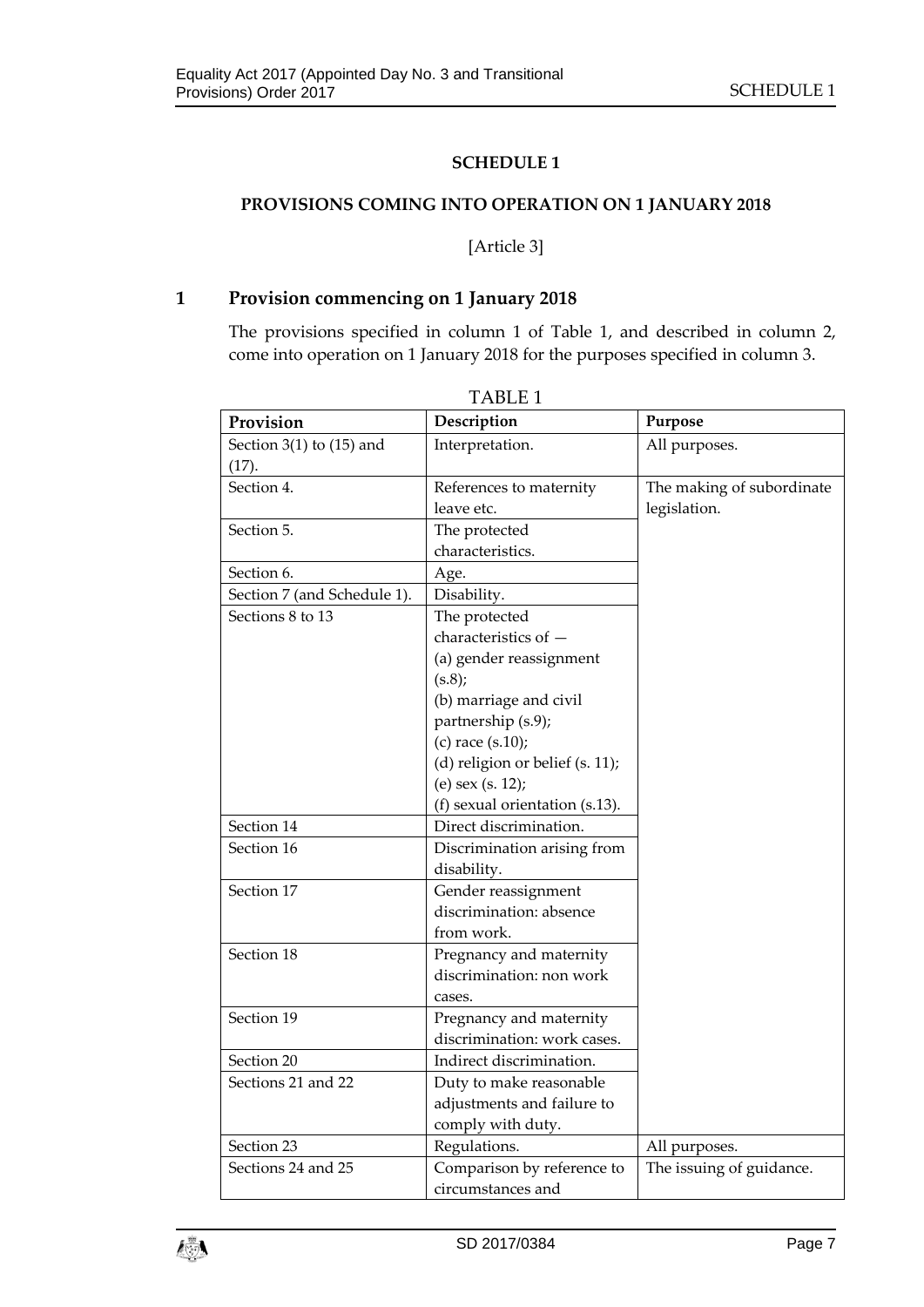#### **SCHEDULE 1**

#### <span id="page-6-1"></span><span id="page-6-0"></span>**PROVISIONS COMING INTO OPERATION ON 1 JANUARY 2018**

#### [Article 3]

## **1 Provision commencing on 1 January 2018**

The provisions specified in column 1 of Table 1, and described in column 2, come into operation on 1 January 2018 for the purposes specified in column 3.

<span id="page-6-2"></span>

| Provision                             | Description                           | Purpose                                   |
|---------------------------------------|---------------------------------------|-------------------------------------------|
| Section $3(1)$ to $(15)$ and<br>(17). | Interpretation.                       | All purposes.                             |
| Section 4.                            | References to maternity<br>leave etc. | The making of subordinate<br>legislation. |
| Section 5.                            | The protected                         |                                           |
|                                       | characteristics.                      |                                           |
| Section 6.                            | Age.                                  |                                           |
| Section 7 (and Schedule 1).           | Disability.                           |                                           |
| Sections 8 to 13                      | The protected                         |                                           |
|                                       | characteristics of -                  |                                           |
|                                       | (a) gender reassignment               |                                           |
|                                       | (s.8);                                |                                           |
|                                       | (b) marriage and civil                |                                           |
|                                       | partnership (s.9);                    |                                           |
|                                       | (c) race $(s.10)$ ;                   |                                           |
|                                       | (d) religion or belief (s. 11);       |                                           |
|                                       | (e) sex (s. 12);                      |                                           |
|                                       | (f) sexual orientation (s.13).        |                                           |
| Section 14                            | Direct discrimination.                |                                           |
| Section 16                            | Discrimination arising from           |                                           |
|                                       | disability.                           |                                           |
| Section 17                            | Gender reassignment                   |                                           |
|                                       | discrimination: absence               |                                           |
|                                       | from work.                            |                                           |
| Section 18                            | Pregnancy and maternity               |                                           |
|                                       | discrimination: non work              |                                           |
|                                       | cases.                                |                                           |
| Section 19                            | Pregnancy and maternity               |                                           |
|                                       | discrimination: work cases.           |                                           |
| Section 20                            | Indirect discrimination.              |                                           |
| Sections 21 and 22                    | Duty to make reasonable               |                                           |
|                                       | adjustments and failure to            |                                           |
|                                       | comply with duty.                     |                                           |
| Section 23                            | Regulations.                          | All purposes.                             |
| Sections 24 and 25                    | Comparison by reference to            | The issuing of guidance.                  |
|                                       | circumstances and                     |                                           |



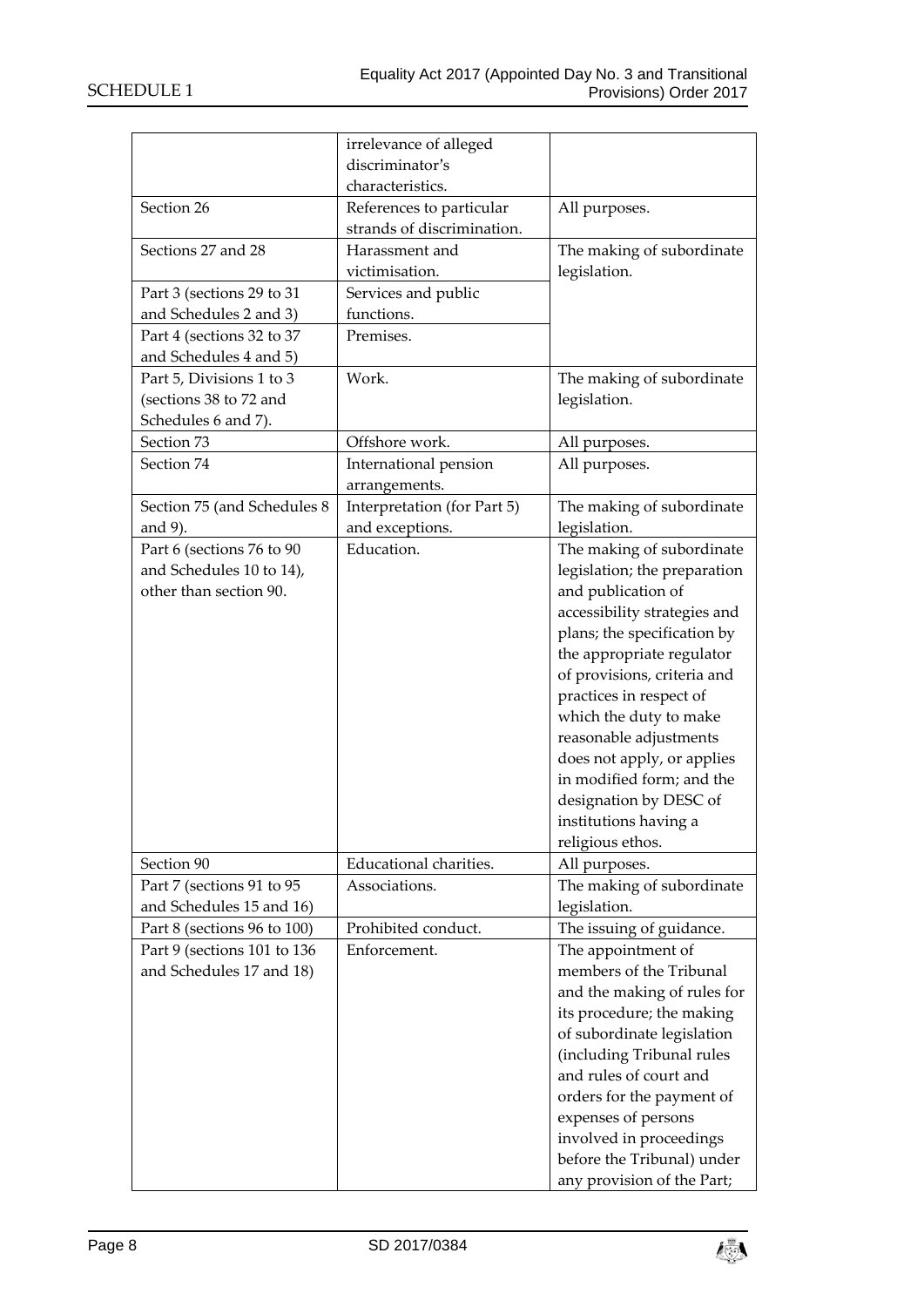|                             | irrelevance of alleged      |                                                     |
|-----------------------------|-----------------------------|-----------------------------------------------------|
|                             | discriminator's             |                                                     |
|                             | characteristics.            |                                                     |
| Section 26                  | References to particular    | All purposes.                                       |
|                             | strands of discrimination.  |                                                     |
| Sections 27 and 28          | Harassment and              | The making of subordinate                           |
|                             | victimisation.              | legislation.                                        |
| Part 3 (sections 29 to 31   | Services and public         |                                                     |
| and Schedules 2 and 3)      | functions.                  |                                                     |
| Part 4 (sections 32 to 37   | Premises.                   |                                                     |
| and Schedules 4 and 5)      |                             |                                                     |
| Part 5, Divisions 1 to 3    | Work.                       | The making of subordinate                           |
| (sections 38 to 72 and      |                             | legislation.                                        |
| Schedules 6 and 7).         |                             |                                                     |
| Section 73                  | Offshore work.              | All purposes.                                       |
| Section 74                  | International pension       | All purposes.                                       |
|                             | arrangements.               |                                                     |
| Section 75 (and Schedules 8 | Interpretation (for Part 5) | The making of subordinate                           |
| and 9).                     | and exceptions.             | legislation.                                        |
| Part 6 (sections 76 to 90   | Education.                  | The making of subordinate                           |
| and Schedules 10 to 14),    |                             | legislation; the preparation                        |
| other than section 90.      |                             | and publication of                                  |
|                             |                             | accessibility strategies and                        |
|                             |                             | plans; the specification by                         |
|                             |                             | the appropriate regulator                           |
|                             |                             | of provisions, criteria and                         |
|                             |                             | practices in respect of                             |
|                             |                             | which the duty to make                              |
|                             |                             | reasonable adjustments                              |
|                             |                             | does not apply, or applies                          |
|                             |                             | in modified form; and the                           |
|                             |                             | designation by DESC of                              |
|                             |                             | institutions having a                               |
|                             |                             | religious ethos.                                    |
| Section 90                  | Educational charities.      | All purposes.                                       |
| Part 7 (sections 91 to 95   | Associations.               | The making of subordinate                           |
| and Schedules 15 and 16)    |                             | legislation.                                        |
| Part 8 (sections 96 to 100) | Prohibited conduct.         | The issuing of guidance.                            |
| Part 9 (sections 101 to 136 | Enforcement.                | The appointment of                                  |
| and Schedules 17 and 18)    |                             | members of the Tribunal                             |
|                             |                             | and the making of rules for                         |
|                             |                             | its procedure; the making                           |
|                             |                             |                                                     |
|                             |                             | of subordinate legislation                          |
|                             |                             | (including Tribunal rules<br>and rules of court and |
|                             |                             |                                                     |
|                             |                             | orders for the payment of                           |
|                             |                             | expenses of persons                                 |
|                             |                             | involved in proceedings                             |
|                             |                             | before the Tribunal) under                          |
|                             |                             | any provision of the Part;                          |

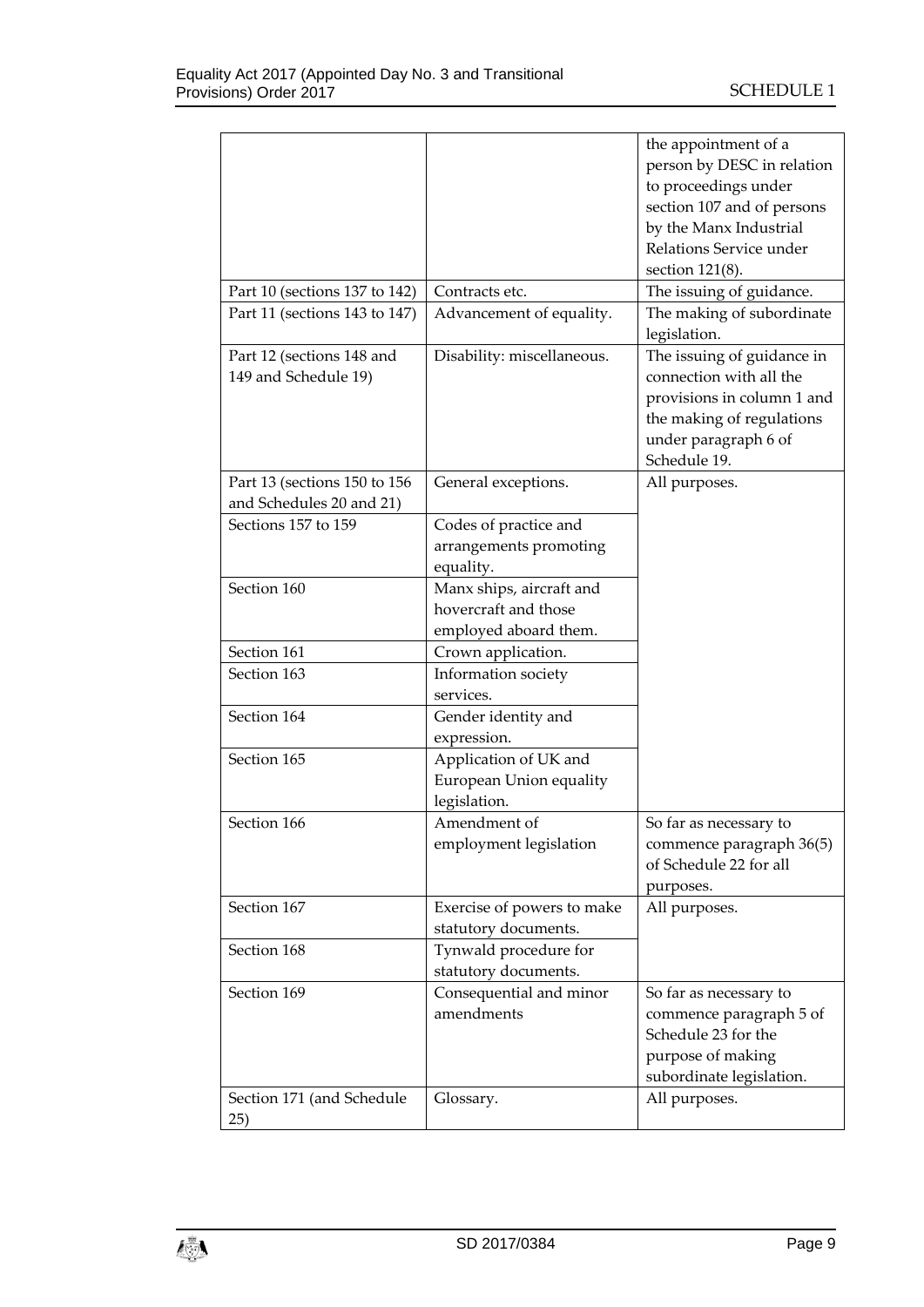|                               |                            | the appointment of a       |
|-------------------------------|----------------------------|----------------------------|
|                               |                            | person by DESC in relation |
|                               |                            | to proceedings under       |
|                               |                            | section 107 and of persons |
|                               |                            | by the Manx Industrial     |
|                               |                            | Relations Service under    |
|                               |                            | section 121(8).            |
| Part 10 (sections 137 to 142) | Contracts etc.             | The issuing of guidance.   |
| Part 11 (sections 143 to 147) | Advancement of equality.   | The making of subordinate  |
|                               |                            | legislation.               |
| Part 12 (sections 148 and     | Disability: miscellaneous. | The issuing of guidance in |
| 149 and Schedule 19)          |                            | connection with all the    |
|                               |                            | provisions in column 1 and |
|                               |                            | the making of regulations  |
|                               |                            | under paragraph 6 of       |
|                               |                            | Schedule 19.               |
| Part 13 (sections 150 to 156  | General exceptions.        | All purposes.              |
| and Schedules 20 and 21)      |                            |                            |
| Sections 157 to 159           | Codes of practice and      |                            |
|                               | arrangements promoting     |                            |
|                               | equality.                  |                            |
| Section 160                   | Manx ships, aircraft and   |                            |
|                               | hovercraft and those       |                            |
|                               | employed aboard them.      |                            |
| Section 161                   | Crown application.         |                            |
| Section 163                   | Information society        |                            |
|                               | services.                  |                            |
| Section 164                   | Gender identity and        |                            |
|                               | expression.                |                            |
| Section 165                   | Application of UK and      |                            |
|                               | European Union equality    |                            |
|                               | legislation.               |                            |
| Section 166                   | Amendment of               | So far as necessary to     |
|                               | employment legislation     | commence paragraph 36(5)   |
|                               |                            | of Schedule 22 for all     |
|                               |                            | purposes.                  |
| Section 167                   | Exercise of powers to make | All purposes.              |
|                               | statutory documents.       |                            |
| Section 168                   | Tynwald procedure for      |                            |
|                               | statutory documents.       |                            |
| Section 169                   | Consequential and minor    | So far as necessary to     |
|                               | amendments                 | commence paragraph 5 of    |
|                               |                            | Schedule 23 for the        |
|                               |                            | purpose of making          |
|                               |                            | subordinate legislation.   |
| Section 171 (and Schedule     | Glossary.                  | All purposes.              |
| 25)                           |                            |                            |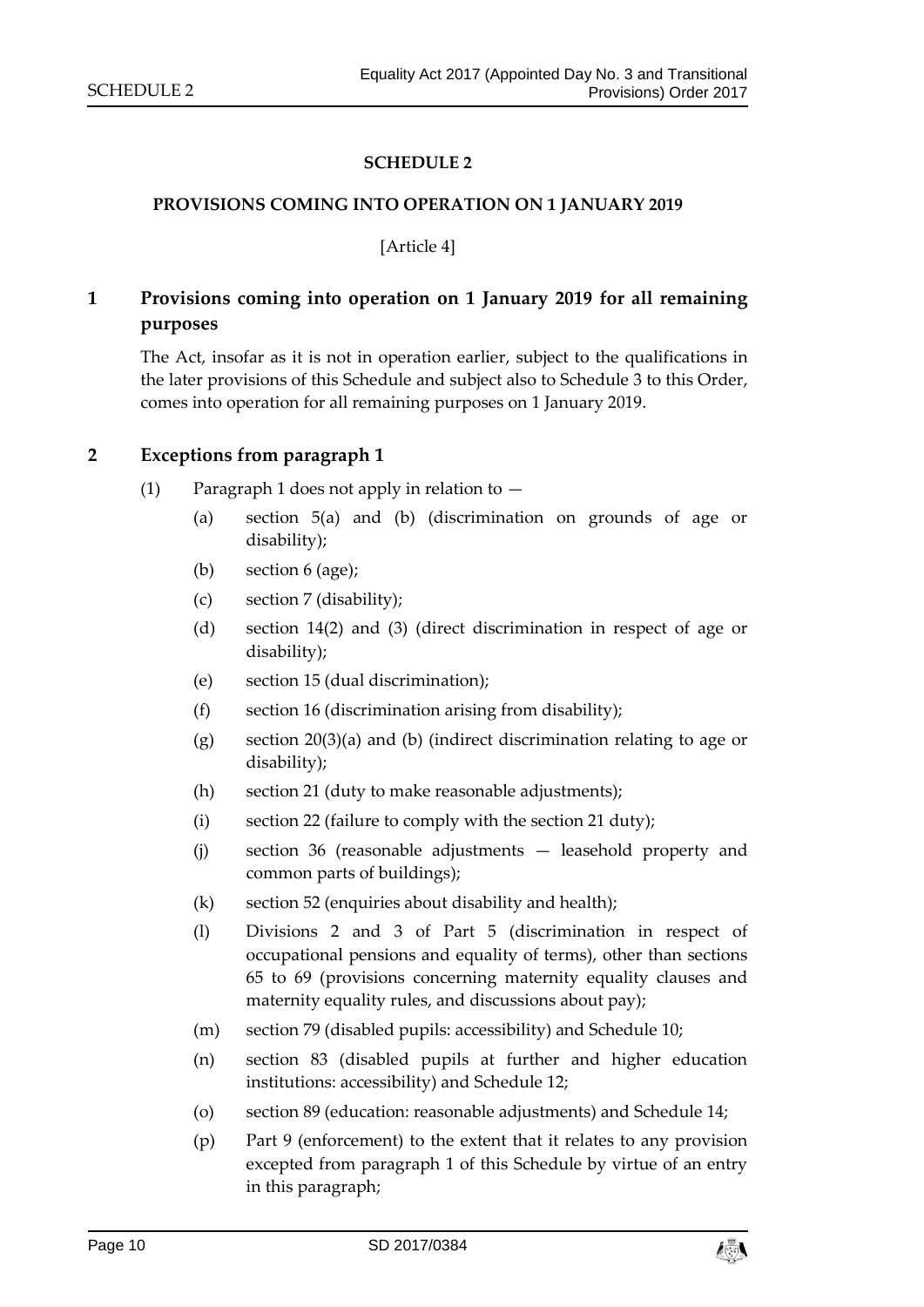#### **SCHEDULE 2**

#### <span id="page-9-1"></span><span id="page-9-0"></span>**PROVISIONS COMING INTO OPERATION ON 1 JANUARY 2019**

[Article 4]

# **1 Provisions coming into operation on 1 January 2019 for all remaining purposes**

The Act, insofar as it is not in operation earlier, subject to the qualifications in the later provisions of this Schedule and subject also to Schedule 3 to this Order, comes into operation for all remaining purposes on 1 January 2019.

#### **2 Exceptions from paragraph 1**

- (1) Paragraph 1 does not apply in relation to
	- (a) section 5(a) and (b) (discrimination on grounds of age or disability);
	- (b) section 6 (age);
	- (c) section 7 (disability);
	- (d) section 14(2) and (3) (direct discrimination in respect of age or disability);
	- (e) section 15 (dual discrimination);
	- (f) section 16 (discrimination arising from disability);
	- (g) section 20(3)(a) and (b) (indirect discrimination relating to age or disability);
	- (h) section 21 (duty to make reasonable adjustments);
	- (i) section 22 (failure to comply with the section 21 duty);
	- (j) section 36 (reasonable adjustments leasehold property and common parts of buildings);
	- (k) section 52 (enquiries about disability and health);
	- (l) Divisions 2 and 3 of Part 5 (discrimination in respect of occupational pensions and equality of terms), other than sections 65 to 69 (provisions concerning maternity equality clauses and maternity equality rules, and discussions about pay);
	- (m) section 79 (disabled pupils: accessibility) and Schedule 10;
	- (n) section 83 (disabled pupils at further and higher education institutions: accessibility) and Schedule 12;
	- (o) section 89 (education: reasonable adjustments) and Schedule 14;
	- (p) Part 9 (enforcement) to the extent that it relates to any provision excepted from paragraph 1 of this Schedule by virtue of an entry in this paragraph;

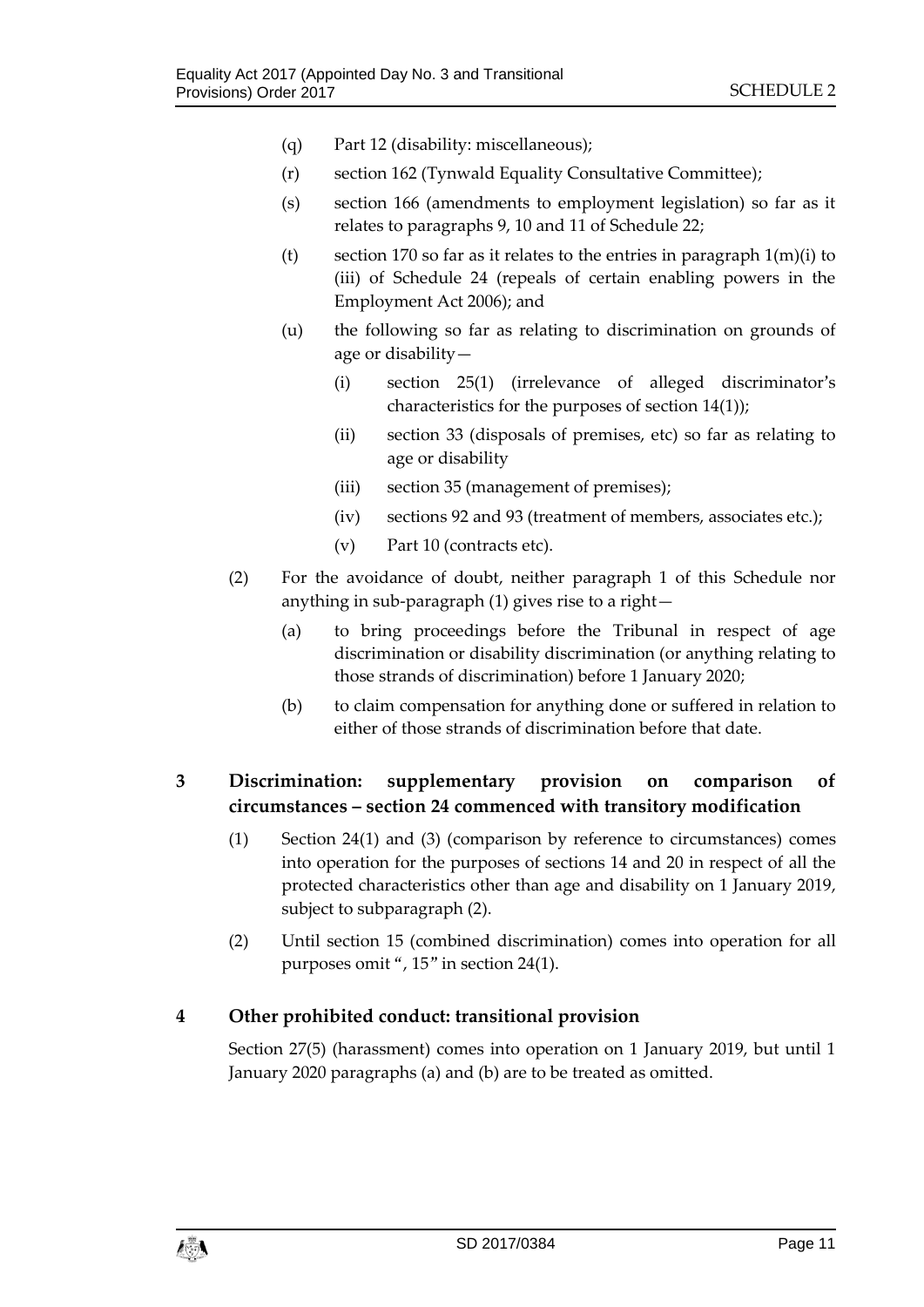- (q) Part 12 (disability: miscellaneous);
- (r) section 162 (Tynwald Equality Consultative Committee);
- (s) section 166 (amendments to employment legislation) so far as it relates to paragraphs 9, 10 and 11 of Schedule 22;
- (t) section 170 so far as it relates to the entries in paragraph  $1(m)(i)$  to (iii) of Schedule 24 (repeals of certain enabling powers in the Employment Act 2006); and
- (u) the following so far as relating to discrimination on grounds of age or disability—
	- (i) section 25(1) (irrelevance of alleged discriminator's characteristics for the purposes of section 14(1));
	- (ii) section 33 (disposals of premises, etc) so far as relating to age or disability
	- (iii) section 35 (management of premises);
	- (iv) sections 92 and 93 (treatment of members, associates etc.);
	- (v) Part 10 (contracts etc).
- (2) For the avoidance of doubt, neither paragraph 1 of this Schedule nor anything in sub-paragraph (1) gives rise to a right—
	- (a) to bring proceedings before the Tribunal in respect of age discrimination or disability discrimination (or anything relating to those strands of discrimination) before 1 January 2020;
	- (b) to claim compensation for anything done or suffered in relation to either of those strands of discrimination before that date.

# **3 Discrimination: supplementary provision on comparison of circumstances – section 24 commenced with transitory modification**

- (1) Section 24(1) and (3) (comparison by reference to circumstances) comes into operation for the purposes of sections 14 and 20 in respect of all the protected characteristics other than age and disability on 1 January 2019, subject to subparagraph (2).
- (2) Until section 15 (combined discrimination) comes into operation for all purposes omit ", 15" in section 24(1).

# **4 Other prohibited conduct: transitional provision**

Section 27(5) (harassment) comes into operation on 1 January 2019, but until 1 January 2020 paragraphs (a) and (b) are to be treated as omitted.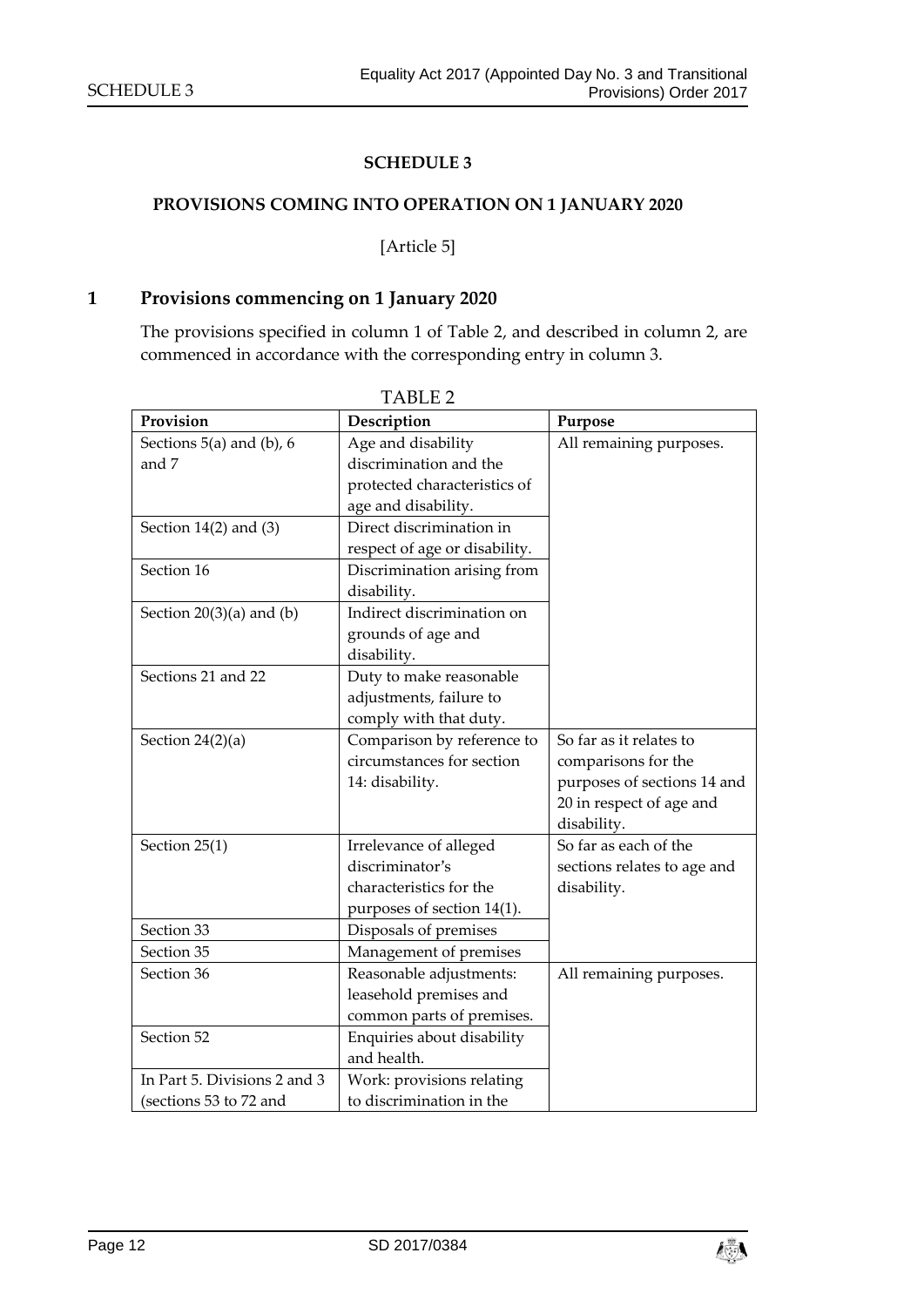#### **SCHEDULE 3**

#### <span id="page-11-1"></span><span id="page-11-0"></span>**PROVISIONS COMING INTO OPERATION ON 1 JANUARY 2020**

[Article 5]

## **1 Provisions commencing on 1 January 2020**

The provisions specified in column 1 of Table 2, and described in column 2, are commenced in accordance with the corresponding entry in column 3.

<span id="page-11-2"></span>

| Provision                    | Description                   | Purpose                     |
|------------------------------|-------------------------------|-----------------------------|
| Sections $5(a)$ and (b), 6   | Age and disability            | All remaining purposes.     |
| and 7                        | discrimination and the        |                             |
|                              | protected characteristics of  |                             |
|                              | age and disability.           |                             |
| Section $14(2)$ and $(3)$    | Direct discrimination in      |                             |
|                              | respect of age or disability. |                             |
| Section 16                   | Discrimination arising from   |                             |
|                              | disability.                   |                             |
| Section $20(3)(a)$ and $(b)$ | Indirect discrimination on    |                             |
|                              | grounds of age and            |                             |
|                              | disability.                   |                             |
| Sections 21 and 22           | Duty to make reasonable       |                             |
|                              | adjustments, failure to       |                             |
|                              | comply with that duty.        |                             |
| Section $24(2)(a)$           | Comparison by reference to    | So far as it relates to     |
|                              | circumstances for section     | comparisons for the         |
|                              | 14: disability.               | purposes of sections 14 and |
|                              |                               | 20 in respect of age and    |
|                              |                               | disability.                 |
| Section 25(1)                | Irrelevance of alleged        | So far as each of the       |
|                              | discriminator's               | sections relates to age and |
|                              | characteristics for the       | disability.                 |
|                              | purposes of section 14(1).    |                             |
| Section 33                   | Disposals of premises         |                             |
| Section 35                   | Management of premises        |                             |
| Section 36                   | Reasonable adjustments:       | All remaining purposes.     |
|                              | leasehold premises and        |                             |
|                              | common parts of premises.     |                             |
| Section 52                   | Enquiries about disability    |                             |
|                              | and health.                   |                             |
| In Part 5. Divisions 2 and 3 | Work: provisions relating     |                             |
| (sections 53 to 72 and       | to discrimination in the      |                             |

TABLE 2

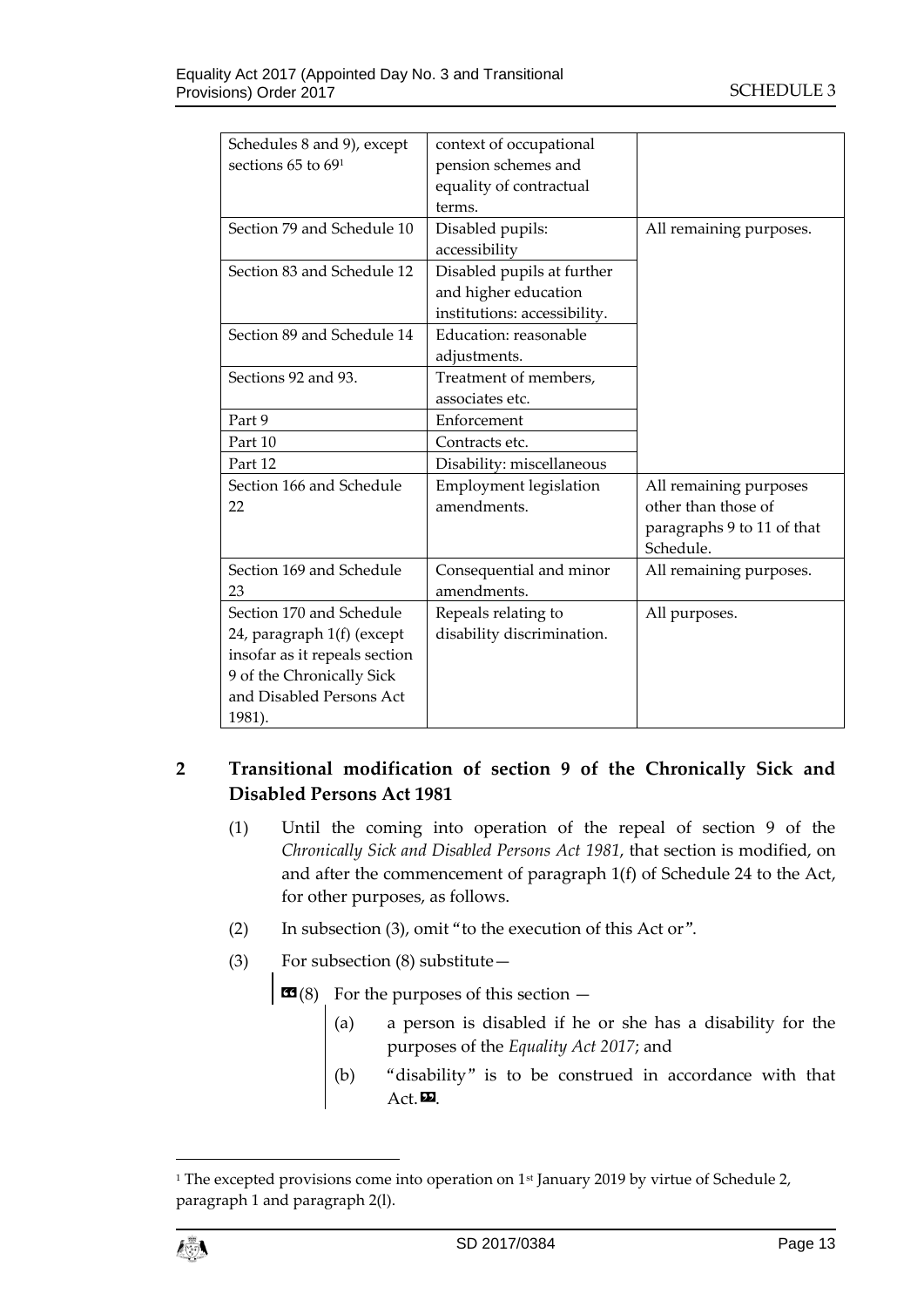| Schedules 8 and 9), except    | context of occupational      |                            |
|-------------------------------|------------------------------|----------------------------|
| sections $65$ to $691$        | pension schemes and          |                            |
|                               | equality of contractual      |                            |
|                               | terms.                       |                            |
| Section 79 and Schedule 10    | Disabled pupils:             | All remaining purposes.    |
|                               | accessibility                |                            |
| Section 83 and Schedule 12    | Disabled pupils at further   |                            |
|                               | and higher education         |                            |
|                               | institutions: accessibility. |                            |
| Section 89 and Schedule 14    | Education: reasonable        |                            |
|                               | adjustments.                 |                            |
| Sections 92 and 93.           | Treatment of members,        |                            |
|                               | associates etc.              |                            |
| Part 9                        | Enforcement                  |                            |
| Part 10                       | Contracts etc.               |                            |
| Part 12                       | Disability: miscellaneous    |                            |
| Section 166 and Schedule      | Employment legislation       | All remaining purposes     |
| 22                            | amendments.                  | other than those of        |
|                               |                              | paragraphs 9 to 11 of that |
|                               |                              | Schedule.                  |
| Section 169 and Schedule      | Consequential and minor      | All remaining purposes.    |
| 23                            | amendments.                  |                            |
| Section 170 and Schedule      | Repeals relating to          | All purposes.              |
| 24, paragraph 1(f) (except    | disability discrimination.   |                            |
| insofar as it repeals section |                              |                            |
| 9 of the Chronically Sick     |                              |                            |
| and Disabled Persons Act      |                              |                            |
| 1981).                        |                              |                            |

# **2 Transitional modification of section 9 of the Chronically Sick and Disabled Persons Act 1981**

- (1) Until the coming into operation of the repeal of section 9 of the *Chronically Sick and Disabled Persons Act 1981*, that section is modified, on and after the commencement of paragraph 1(f) of Schedule 24 to the Act, for other purposes, as follows.
- (2) In subsection (3), omit "to the execution of this Act or".
- (3) For subsection (8) substitute—

 $\mathbf{G}(8)$  For the purposes of this section  $-$ 

- (a) a person is disabled if he or she has a disability for the purposes of the *Equality Act 2017*; and
- (b) "disability" is to be construed in accordance with that  $Act.$

 $\overline{a}$ 

<sup>&</sup>lt;sup>1</sup> The excepted provisions come into operation on 1<sup>st</sup> January 2019 by virtue of Schedule 2, paragraph 1 and paragraph 2(l).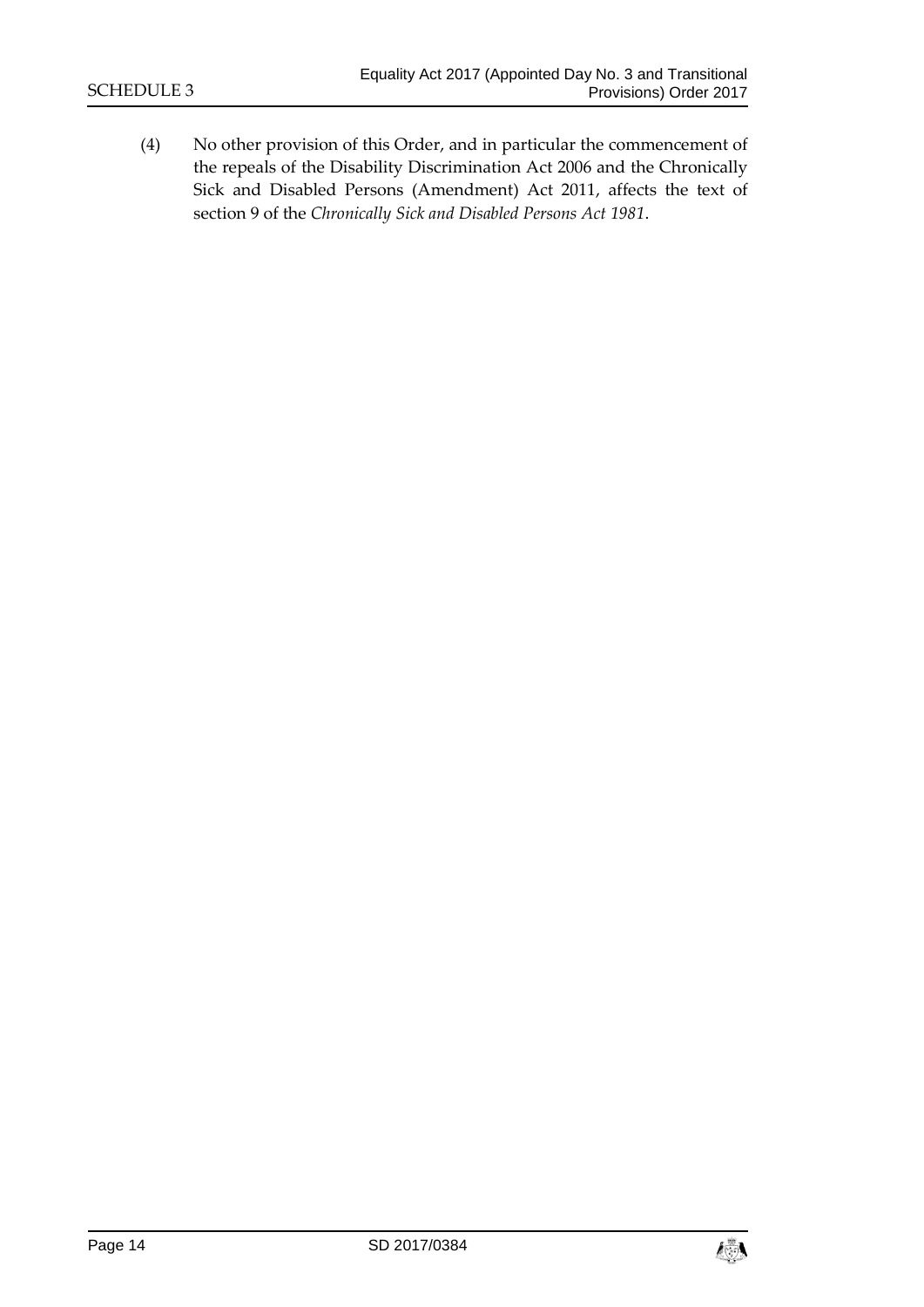(4) No other provision of this Order, and in particular the commencement of the repeals of the Disability Discrimination Act 2006 and the Chronically Sick and Disabled Persons (Amendment) Act 2011, affects the text of section 9 of the *Chronically Sick and Disabled Persons Act 1981*.